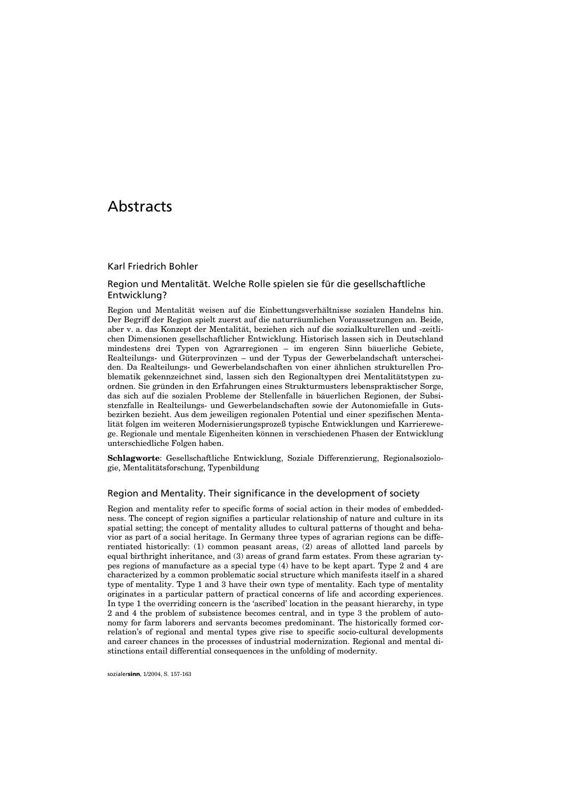# Abstracts

## Karl Friedrich Bohler

#### Region und Mentalität. Welche Rolle spielen sie für die gesellschaftliche Entwicklung?

Region und Mentalität weisen auf die Einbettungsverhältnisse sozialen Handelns hin. Der Begriff der Region spielt zuerst auf die naturräumlichen Voraussetzungen an. Beide, aber v. a. das Konzept der Mentalität, beziehen sich auf die sozialkulturellen und -zeitlichen Dimensionen gesellschaftlicher Entwicklung. Historisch lassen sich in Deutschland mindestens drei Typen von Agrarregionen – im engeren Sinn bäuerliche Gebiete, Realteilungs- und Güterprovinzen – und der Typus der Gewerbelandschaft unterscheiden. Da Realteilungs- und Gewerbelandschaften von einer ähnlichen strukturellen Problematik gekennzeichnet sind, lassen sich den Regionaltypen drei Mentalitätstypen zuordnen. Sie gründen in den Erfahrungen eines Strukturmusters lebenspraktischer Sorge, das sich auf die sozialen Probleme der Stellenfalle in bäuerlichen Regionen, der Subsistenzfalle in Realteilungs- und Gewerbelandschaften sowie der Autonomiefalle in Gutsbezirken bezieht. Aus dem jeweiligen regionalen Potential und einer spezifischen Mentalität folgen im weiteren Modernisierungsprozeß typische Entwicklungen und Karrierewege. Regionale und mentale Eigenheiten können in verschiedenen Phasen der Entwicklung unterschiedliche Folgen haben.

**Schlagworte**: Gesellschaftliche Entwicklung, Soziale Differenzierung, Regionalsoziologie, Mentalitätsforschung, Typenbildung

## Region and Mentality. Their significance in the development of society

Region and mentality refer to specific forms of social action in their modes of embeddedness. The concept of region signifies a particular relationship of nature and culture in its spatial setting; the concept of mentality alludes to cultural patterns of thought and behavior as part of a social heritage. In Germany three types of agrarian regions can be differentiated historically: (1) common peasant areas, (2) areas of allotted land parcels by equal birthright inheritance, and (3) areas of grand farm estates. From these agrarian types regions of manufacture as a special type (4) have to be kept apart. Type 2 and 4 are characterized by a common problematic social structure which manifests itself in a shared type of mentality. Type 1 and 3 have their own type of mentality. Each type of mentality originates in a particular pattern of practical concerns of life and according experiences. In type 1 the overriding concern is the 'ascribed' location in the peasant hierarchy, in type 2 and 4 the problem of subsistence becomes central, and in type 3 the problem of autonomy for farm laborers and servants becomes predominant. The historically formed correlation's of regional and mental types give rise to specific socio-cultural developments and career chances in the processes of industrial modernization. Regional and mental distinctions entail differential consequences in the unfolding of modernity.

sozialer**sinn**, 1/2004, S. 157-163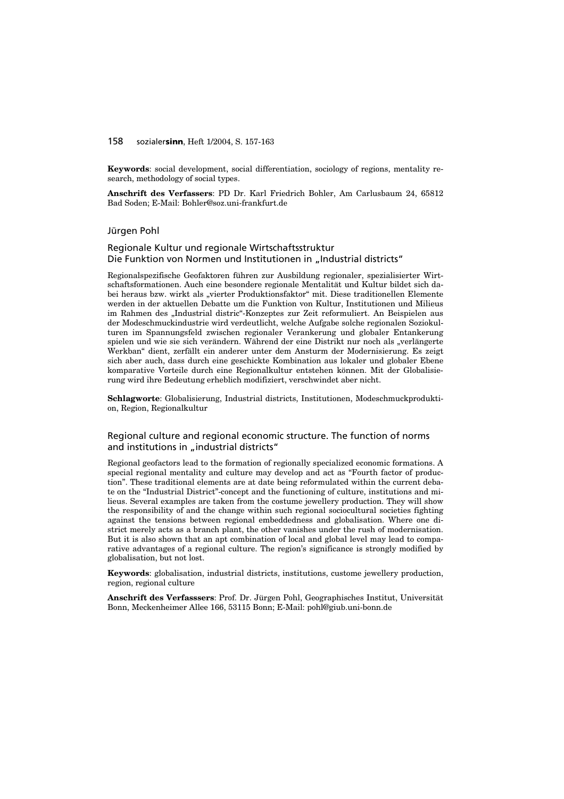## 158 sozialer**sinn**, Heft 1/2004, S. 157-163

**Keywords**: social development, social differentiation, sociology of regions, mentality research, methodology of social types.

**Anschrift des Verfassers**: PD Dr. Karl Friedrich Bohler, Am Carlusbaum 24, 65812 Bad Soden; E-Mail: Bohler@soz.uni-frankfurt.de

#### Jürgen Pohl

## Regionale Kultur und regionale Wirtschaftsstruktur Die Funktion von Normen und Institutionen in "Industrial districts"

Regionalspezifische Geofaktoren führen zur Ausbildung regionaler, spezialisierter Wirtschaftsformationen. Auch eine besondere regionale Mentalität und Kultur bildet sich dabei heraus bzw. wirkt als "vierter Produktionsfaktor" mit. Diese traditionellen Elemente werden in der aktuellen Debatte um die Funktion von Kultur, Institutionen und Milieus im Rahmen des "Industrial distric"-Konzeptes zur Zeit reformuliert. An Beispielen aus der Modeschmuckindustrie wird verdeutlicht, welche Aufgabe solche regionalen Soziokulturen im Spannungsfeld zwischen regionaler Verankerung und globaler Entankerung spielen und wie sie sich verändern. Während der eine Distrikt nur noch als "verlängerte Werkban" dient, zerfällt ein anderer unter dem Ansturm der Modernisierung. Es zeigt sich aber auch, dass durch eine geschickte Kombination aus lokaler und globaler Ebene komparative Vorteile durch eine Regionalkultur entstehen können. Mit der Globalisierung wird ihre Bedeutung erheblich modifiziert, verschwindet aber nicht.

**Schlagworte**: Globalisierung, Industrial districts, Institutionen, Modeschmuckproduktion, Region, Regionalkultur

## Regional culture and regional economic structure. The function of norms and institutions in "industrial districts"

Regional geofactors lead to the formation of regionally specialized economic formations. A special regional mentality and culture may develop and act as "Fourth factor of production". These traditional elements are at date being reformulated within the current debate on the "Industrial District"-concept and the functioning of culture, institutions and milieus. Several examples are taken from the costume jewellery production. They will show the responsibility of and the change within such regional sociocultural societies fighting against the tensions between regional embeddedness and globalisation. Where one district merely acts as a branch plant, the other vanishes under the rush of modernisation. But it is also shown that an apt combination of local and global level may lead to comparative advantages of a regional culture. The region's significance is strongly modified by globalisation, but not lost.

**Keywords**: globalisation, industrial districts, institutions, custome jewellery production, region, regional culture

**Anschrift des Verfasssers**: Prof. Dr. Jürgen Pohl, Geographisches Institut, Universität Bonn, Meckenheimer Allee 166, 53115 Bonn; E-Mail: pohl@giub.uni-bonn.de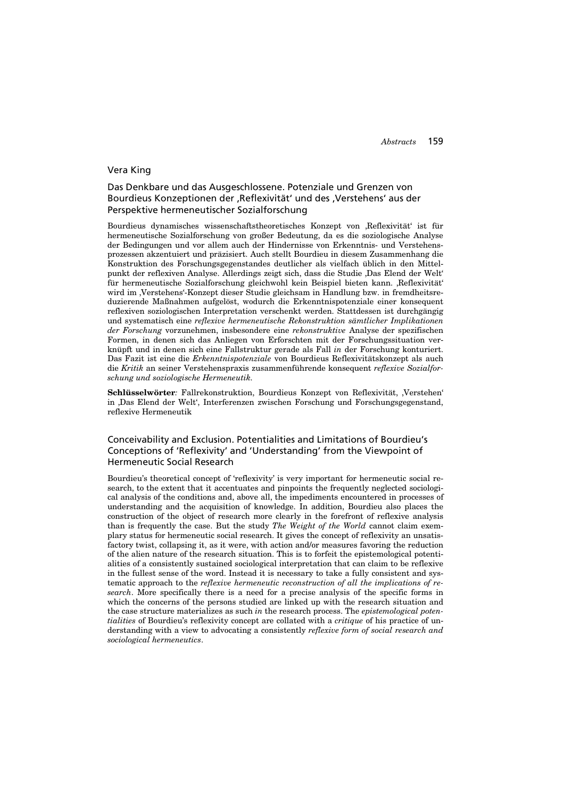#### Vera King

## Das Denkbare und das Ausgeschlossene. Potenziale und Grenzen von Bourdieus Konzeptionen der , Reflexivität' und des , Verstehens' aus der Perspektive hermeneutischer Sozialforschung

Bourdieus dynamisches wissenschaftstheoretisches Konzept von 'Reflexivität' ist für hermeneutische Sozialforschung von großer Bedeutung, da es die soziologische Analyse der Bedingungen und vor allem auch der Hindernisse von Erkenntnis- und Verstehensprozessen akzentuiert und präzisiert. Auch stellt Bourdieu in diesem Zusammenhang die Konstruktion des Forschungsgegenstandes deutlicher als vielfach üblich in den Mittelpunkt der reflexiven Analyse. Allerdings zeigt sich, dass die Studie ,Das Elend der Welt' für hermeneutische Sozialforschung gleichwohl kein Beispiel bieten kann. 'Reflexivität' wird im 'Verstehens'-Konzept dieser Studie gleichsam in Handlung bzw. in fremdheitsreduzierende Maßnahmen aufgelöst, wodurch die Erkenntnispotenziale einer konsequent reflexiven soziologischen Interpretation verschenkt werden. Stattdessen ist durchgängig und systematisch eine *reflexive hermeneutische Rekonstruktion sämtlicher Implikationen der Forschung* vorzunehmen, insbesondere eine *rekonstruktive* Analyse der spezifischen Formen, in denen sich das Anliegen von Erforschten mit der Forschungssituation verknüpft und in denen sich eine Fallstruktur gerade als Fall *in* der Forschung konturiert. Das Fazit ist eine die *Erkenntnispotenziale* von Bourdieus Reflexivitätskonzept als auch die *Kritik* an seiner Verstehenspraxis zusammenführende konsequent *reflexive Sozialforschung und soziologische Hermeneutik.*

**Schlüsselwörter***:* Fallrekonstruktion, Bourdieus Konzept von Reflexivität, 'Verstehen' in 'Das Elend der Welt', Interferenzen zwischen Forschung und Forschungsgegenstand, reflexive Hermeneutik

## Conceivability and Exclusion. Potentialities and Limitations of Bourdieu's Conceptions of 'Reflexivity' and 'Understanding' from the Viewpoint of Hermeneutic Social Research

Bourdieu's theoretical concept of 'reflexivity' is very important for hermeneutic social research, to the extent that it accentuates and pinpoints the frequently neglected sociological analysis of the conditions and, above all, the impediments encountered in processes of understanding and the acquisition of knowledge. In addition, Bourdieu also places the construction of the object of research more clearly in the forefront of reflexive analysis than is frequently the case. But the study *The Weight of the World* cannot claim exemplary status for hermeneutic social research. It gives the concept of reflexivity an unsatisfactory twist, collapsing it, as it were, with action and/or measures favoring the reduction of the alien nature of the research situation. This is to forfeit the epistemological potentialities of a consistently sustained sociological interpretation that can claim to be reflexive in the fullest sense of the word. Instead it is necessary to take a fully consistent and systematic approach to the *reflexive hermeneutic reconstruction of all the implications of research*. More specifically there is a need for a precise analysis of the specific forms in which the concerns of the persons studied are linked up with the research situation and the case structure materializes as such *in* the research process. The *epistemological potentialities* of Bourdieu's reflexivity concept are collated with a *critique* of his practice of understanding with a view to advocating a consistently *reflexive form of social research and sociological hermeneutics*.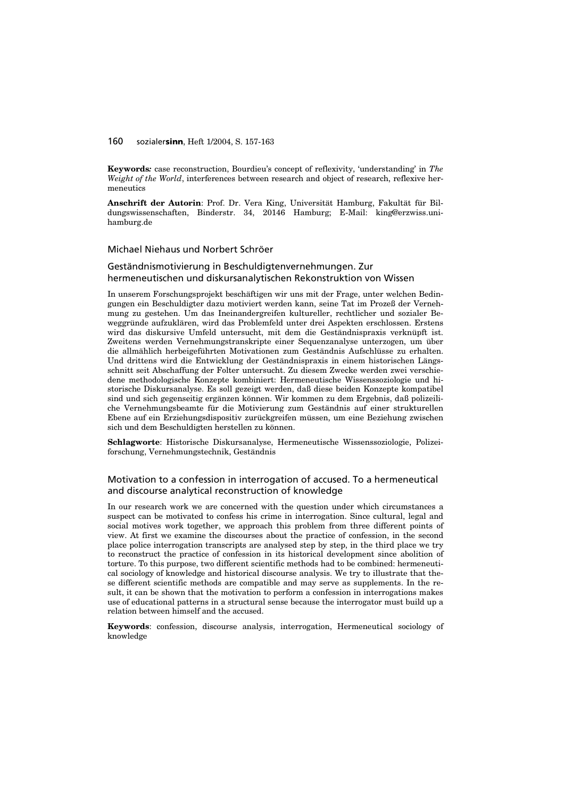#### 160 sozialer**sinn**, Heft 1/2004, S. 157-163

**Keywords***:* case reconstruction, Bourdieu's concept of reflexivity, 'understanding' in *The Weight of the World*, interferences between research and object of research, reflexive hermeneutics

**Anschrift der Autorin**: Prof. Dr. Vera King, Universität Hamburg, Fakultät für Bildungswissenschaften, Binderstr. 34, 20146 Hamburg; E-Mail: king@erzwiss.unihamburg.de

#### Michael Niehaus und Norbert Schröer

## Geständnismotivierung in Beschuldigtenvernehmungen. Zur hermeneutischen und diskursanalytischen Rekonstruktion von Wissen

In unserem Forschungsprojekt beschäftigen wir uns mit der Frage, unter welchen Bedingungen ein Beschuldigter dazu motiviert werden kann, seine Tat im Prozeß der Vernehmung zu gestehen. Um das Ineinandergreifen kultureller, rechtlicher und sozialer Beweggründe aufzuklären, wird das Problemfeld unter drei Aspekten erschlossen. Erstens wird das diskursive Umfeld untersucht, mit dem die Geständnispraxis verknüpft ist. Zweitens werden Vernehmungstranskripte einer Sequenzanalyse unterzogen, um über die allmählich herbeigeführten Motivationen zum Geständnis Aufschlüsse zu erhalten. Und drittens wird die Entwicklung der Geständnispraxis in einem historischen Längsschnitt seit Abschaffung der Folter untersucht. Zu diesem Zwecke werden zwei verschiedene methodologische Konzepte kombiniert: Hermeneutische Wissenssoziologie und historische Diskursanalyse. Es soll gezeigt werden, daß diese beiden Konzepte kompatibel sind und sich gegenseitig ergänzen können. Wir kommen zu dem Ergebnis, daß polizeiliche Vernehmungsbeamte für die Motivierung zum Geständnis auf einer strukturellen Ebene auf ein Erziehungsdispositiv zurückgreifen müssen, um eine Beziehung zwischen sich und dem Beschuldigten herstellen zu können.

**Schlagworte**: Historische Diskursanalyse, Hermeneutische Wissenssoziologie, Polizeiforschung, Vernehmungstechnik, Geständnis

## Motivation to a confession in interrogation of accused. To a hermeneutical and discourse analytical reconstruction of knowledge

In our research work we are concerned with the question under which circumstances a suspect can be motivated to confess his crime in interrogation. Since cultural, legal and social motives work together, we approach this problem from three different points of view. At first we examine the discourses about the practice of confession, in the second place police interrogation transcripts are analysed step by step, in the third place we try to reconstruct the practice of confession in its historical development since abolition of torture. To this purpose, two different scientific methods had to be combined: hermeneutical sociology of knowledge and historical discourse analysis. We try to illustrate that these different scientific methods are compatible and may serve as supplements. In the result, it can be shown that the motivation to perform a confession in interrogations makes use of educational patterns in a structural sense because the interrogator must build up a relation between himself and the accused.

**Keywords**: confession, discourse analysis, interrogation, Hermeneutical sociology of knowledge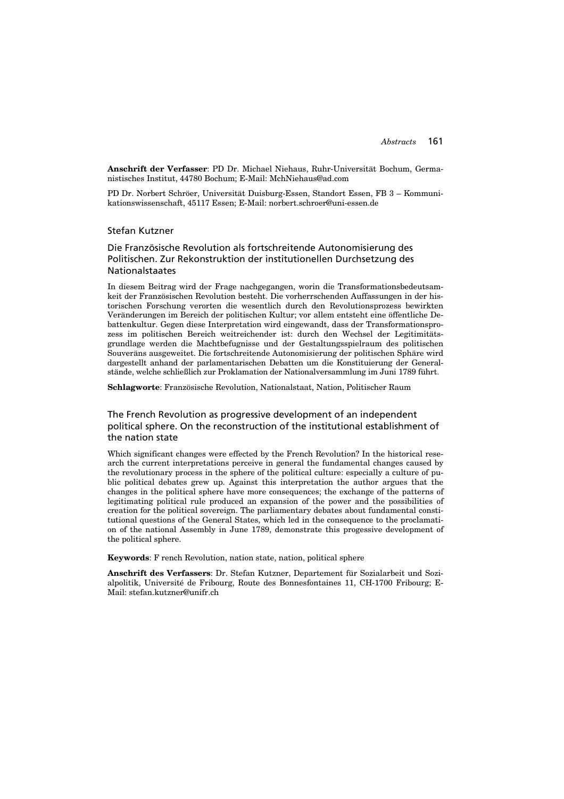**Anschrift der Verfasser**: PD Dr. Michael Niehaus, Ruhr-Universität Bochum, Germanistisches Institut, 44780 Bochum; E-Mail: MchNiehaus@ad.com

PD Dr. Norbert Schröer, Universität Duisburg-Essen, Standort Essen, FB 3 – Kommunikationswissenschaft, 45117 Essen; E-Mail: norbert.schroer@uni-essen.de

#### Stefan Kutzner

## Die Französische Revolution als fortschreitende Autonomisierung des Politischen. Zur Rekonstruktion der institutionellen Durchsetzung des Nationalstaates

In diesem Beitrag wird der Frage nachgegangen, worin die Transformationsbedeutsamkeit der Französischen Revolution besteht. Die vorherrschenden Auffassungen in der historischen Forschung verorten die wesentlich durch den Revolutionsprozess bewirkten Veränderungen im Bereich der politischen Kultur; vor allem entsteht eine öffentliche Debattenkultur. Gegen diese Interpretation wird eingewandt, dass der Transformationsprozess im politischen Bereich weitreichender ist: durch den Wechsel der Legitimitätsgrundlage werden die Machtbefugnisse und der Gestaltungsspielraum des politischen Souveräns ausgeweitet. Die fortschreitende Autonomisierung der politischen Sphäre wird dargestellt anhand der parlamentarischen Debatten um die Konstituierung der Generalstände, welche schließlich zur Proklamation der Nationalversammlung im Juni 1789 führt.

**Schlagworte**: Französische Revolution, Nationalstaat, Nation, Politischer Raum

## The French Revolution as progressive development of an independent political sphere. On the reconstruction of the institutional establishment of the nation state

Which significant changes were effected by the French Revolution? In the historical research the current interpretations perceive in general the fundamental changes caused by the revolutionary process in the sphere of the political culture: especially a culture of public political debates grew up. Against this interpretation the author argues that the changes in the political sphere have more consequences; the exchange of the patterns of legitimating political rule produced an expansion of the power and the possibilities of creation for the political sovereign. The parliamentary debates about fundamental constitutional questions of the General States, which led in the consequence to the proclamation of the national Assembly in June 1789, demonstrate this progessive development of the political sphere.

**Keywords**: F rench Revolution, nation state, nation, political sphere

**Anschrift des Verfassers**: Dr. Stefan Kutzner, Departement für Sozialarbeit und Sozialpolitik, Université de Fribourg, Route des Bonnesfontaines 11, CH-1700 Fribourg; E-Mail: stefan.kutzner@unifr.ch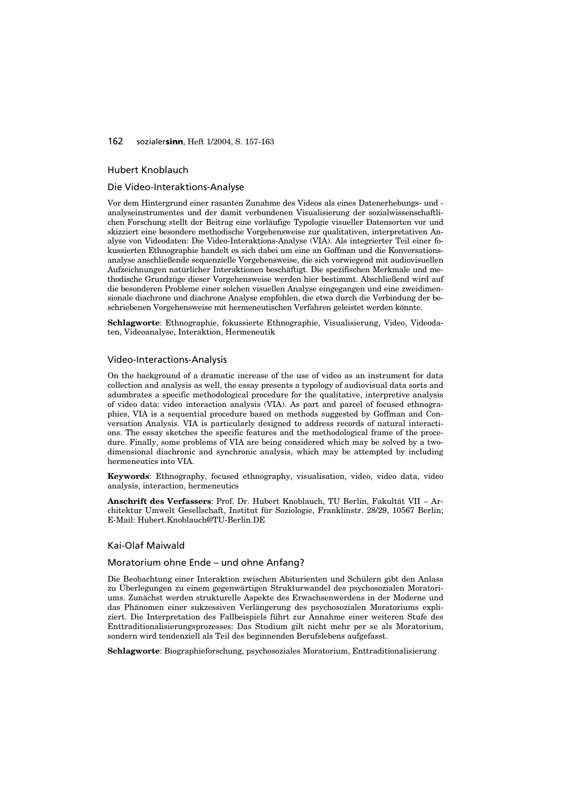#### 162 sozialer**sinn**, Heft 1/2004, S. 157-163

#### Hubert Knoblauch

#### Die Video-Interaktions-Analyse

Vor dem Hintergrund einer rasanten Zunahme des Videos als eines Datenerhebungs- und analyseinstrumentes und der damit verbundenen Visualisierung der sozialwissenschaftlichen Forschung stellt der Beitrag eine vorläufige Typologie visueller Datensorten vor und skizziert eine besondere methodische Vorgehensweise zur qualitativen, interpretativen Analyse von Videodaten: Die Video-Interaktions-Analyse (VIA). Als integrierter Teil einer fokussierten Ethnographie handelt es sich dabei um eine an Goffman und die Konversationsanalyse anschließende sequenzielle Vorgehensweise, die sich vorwiegend mit audiovisuellen Aufzeichnungen natürlicher Interaktionen beschäftigt. Die spezifischen Merkmale und methodische Grundzüge dieser Vorgehensweise werden hier bestimmt. Abschließend wird auf die besonderen Probleme einer solchen visuellen Analyse eingegangen und eine zweidimensionale diachrone und diachrone Analyse empfohlen, die etwa durch die Verbindung der beschriebenen Vorgehensweise mit hermeneutischen Verfahren geleistet werden könnte.

**Schlagworte**: Ethnographie, fokussierte Ethnographie, Visualisierung, Video, Videodaten, Videoanalyse, Interaktion, Hermeneutik

#### Video-Interactions-Analysis

On the background of a dramatic increase of the use of video as an instrument for data collection and analysis as well, the essay presents a typology of audiovisual data sorts and adumbrates a specific methodological procedure for the qualitative, interpretive analysis of video data: video interaction analysis (VIA). As part and parcel of focused ethnographies, VIA is a sequential procedure based on methods suggested by Goffman and Conversation Analysis. VIA is particularly designed to address records of natural interactions. The essay sketches the specific features and the methodological frame of the procedure. Finally, some problems of VIA are being considered which may be solved by a twodimensional diachronic and synchronic analysis, which may be attempted by including hermeneutics into VIA.

**Keywords**: Ethnography, focused ethnography, visualisation, video, video data, video analysis, interaction, hermeneutics

**Anschrift des Verfassers**: Prof. Dr. Hubert Knoblauch, TU Berlin, Fakultät VII – Architektur Umwelt Gesellschaft, Institut für Soziologie, Franklinstr. 28/29, 10567 Berlin; E-Mail: Hubert.Knoblauch@TU-Berlin.DE

#### Kai-Olaf Maiwald

#### Moratorium ohne Ende – und ohne Anfang?

Die Beobachtung einer Interaktion zwischen Abiturienten und Schülern gibt den Anlass zu Überlegungen zu einem gegenwärtigen Strukturwandel des psychosozialen Moratoriums. Zunächst werden strukturelle Aspekte des Erwachsenwerdens in der Moderne und das Phänomen einer sukzessiven Verlängerung des psychosozialen Moratoriums expliziert. Die Interpretation des Fallbeispiels führt zur Annahme einer weiteren Stufe des Enttraditionalisierungsprozesses: Das Studium gilt nicht mehr per se als Moratorium, sondern wird tendenziell als Teil des beginnenden Berufslebens aufgefasst.

**Schlagworte**: Biographieforschung, psychosoziales Moratorium, Enttraditionalisierung